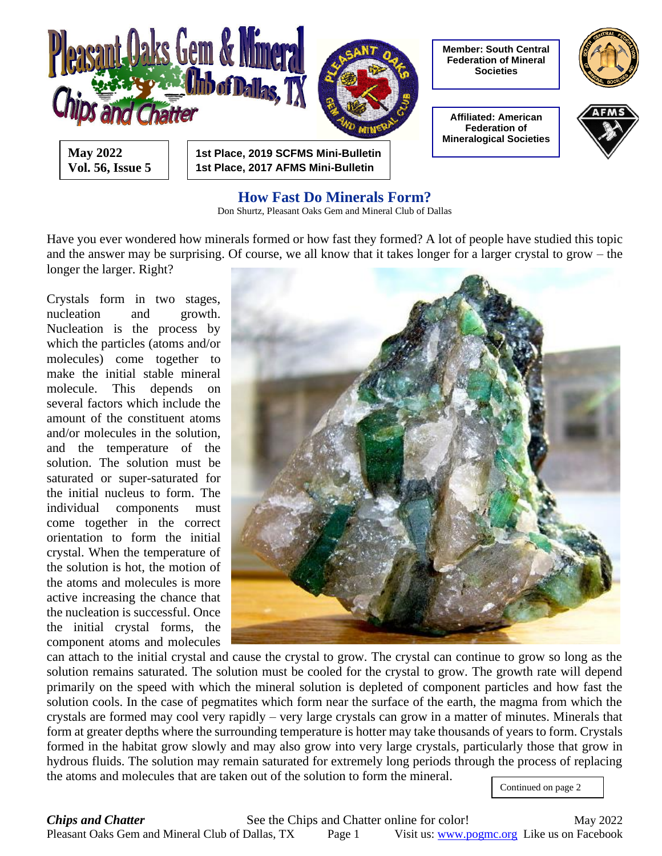

#### **How Fast Do Minerals Form?**

Don Shurtz, Pleasant Oaks Gem and Mineral Club of Dallas

Have you ever wondered how minerals formed or how fast they formed? A lot of people have studied this topic and the answer may be surprising. Of course, we all know that it takes longer for a larger crystal to grow – the longer the larger. Right?

Crystals form in two stages, nucleation and growth. Nucleation is the process by which the particles (atoms and/or molecules) come together to make the initial stable mineral molecule. This depends on several factors which include the amount of the constituent atoms and/or molecules in the solution, and the temperature of the solution. The solution must be saturated or super-saturated for the initial nucleus to form. The individual components must come together in the correct orientation to form the initial crystal. When the temperature of the solution is hot, the motion of the atoms and molecules is more active increasing the chance that the nucleation is successful. Once the initial crystal forms, the component atoms and molecules



can attach to the initial crystal and cause the crystal to grow. The crystal can continue to grow so long as the solution remains saturated. The solution must be cooled for the crystal to grow. The growth rate will depend primarily on the speed with which the mineral solution is depleted of component particles and how fast the solution cools. In the case of pegmatites which form near the surface of the earth, the magma from which the crystals are formed may cool very rapidly – very large crystals can grow in a matter of minutes. Minerals that form at greater depths where the surrounding temperature is hotter may take thousands of years to form. Crystals formed in the habitat grow slowly and may also grow into very large crystals, particularly those that grow in hydrous fluids. The solution may remain saturated for extremely long periods through the process of replacing the atoms and molecules that are taken out of the solution to form the mineral.

Continued on page 2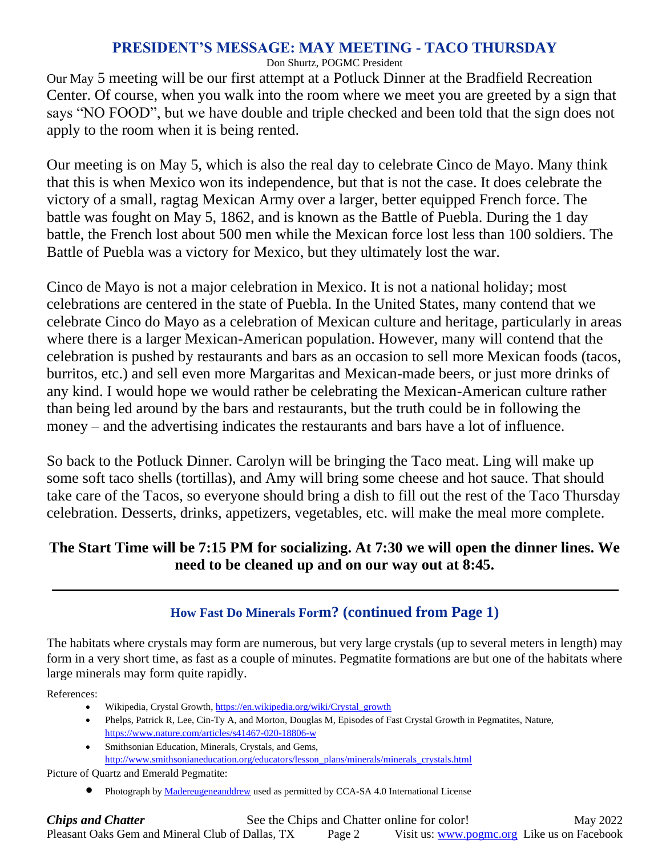### **PRESIDENT'S MESSAGE: MAY MEETING - TACO THURSDAY**

Don Shurtz, POGMC President

Our May 5 meeting will be our first attempt at a Potluck Dinner at the Bradfield Recreation Center. Of course, when you walk into the room where we meet you are greeted by a sign that says "NO FOOD", but we have double and triple checked and been told that the sign does not apply to the room when it is being rented.

Our meeting is on May 5, which is also the real day to celebrate Cinco de Mayo. Many think that this is when Mexico won its independence, but that is not the case. It does celebrate the victory of a small, ragtag Mexican Army over a larger, better equipped French force. The battle was fought on May 5, 1862, and is known as the Battle of Puebla. During the 1 day battle, the French lost about 500 men while the Mexican force lost less than 100 soldiers. The Battle of Puebla was a victory for Mexico, but they ultimately lost the war.

Cinco de Mayo is not a major celebration in Mexico. It is not a national holiday; most celebrations are centered in the state of Puebla. In the United States, many contend that we celebrate Cinco do Mayo as a celebration of Mexican culture and heritage, particularly in areas where there is a larger Mexican-American population. However, many will contend that the celebration is pushed by restaurants and bars as an occasion to sell more Mexican foods (tacos, burritos, etc.) and sell even more Margaritas and Mexican-made beers, or just more drinks of any kind. I would hope we would rather be celebrating the Mexican-American culture rather than being led around by the bars and restaurants, but the truth could be in following the money – and the advertising indicates the restaurants and bars have a lot of influence.

So back to the Potluck Dinner. Carolyn will be bringing the Taco meat. Ling will make up some soft taco shells (tortillas), and Amy will bring some cheese and hot sauce. That should take care of the Tacos, so everyone should bring a dish to fill out the rest of the Taco Thursday celebration. Desserts, drinks, appetizers, vegetables, etc. will make the meal more complete.

## **The Start Time will be 7:15 PM for socializing. At 7:30 we will open the dinner lines. We need to be cleaned up and on our way out at 8:45.**

## **How Fast Do Minerals Form? (continued from Page 1)**

The habitats where crystals may form are numerous, but very large crystals (up to several meters in length) may form in a very short time, as fast as a couple of minutes. Pegmatite formations are but one of the habitats where large minerals may form quite rapidly.

References:

- Wikipedia, Crystal Growth[, https://en.wikipedia.org/wiki/Crystal\\_growth](https://en.wikipedia.org/wiki/Crystal_growth)
- Phelps, Patrick R, Lee, Cin-Ty A, and Morton, Douglas M, Episodes of Fast Crystal Growth in Pegmatites, Nature, <https://www.nature.com/articles/s41467-020-18806-w>
- Smithsonian Education, Minerals, Crystals, and Gems, [http://www.smithsonianeducation.org/educators/lesson\\_plans/minerals/minerals\\_crystals.html](http://www.smithsonianeducation.org/educators/lesson_plans/minerals/minerals_crystals.html)

Picture of Quartz and Emerald Pegmatite:

Photograph by **Madereugeneanddrew** used as permitted by [CCA-SA 4.0](https://creativecommons.org/licenses/by-sa/4.0/deed.en) International License

**Chips and Chatter** See the Chips and Chatter online for color! May 2022 Pleasant Oaks Gem and Mineral Club of Dallas, TX Page 2 Visit us: [www.pogmc.org](http://www.pogmc.org/) Like us on Facebook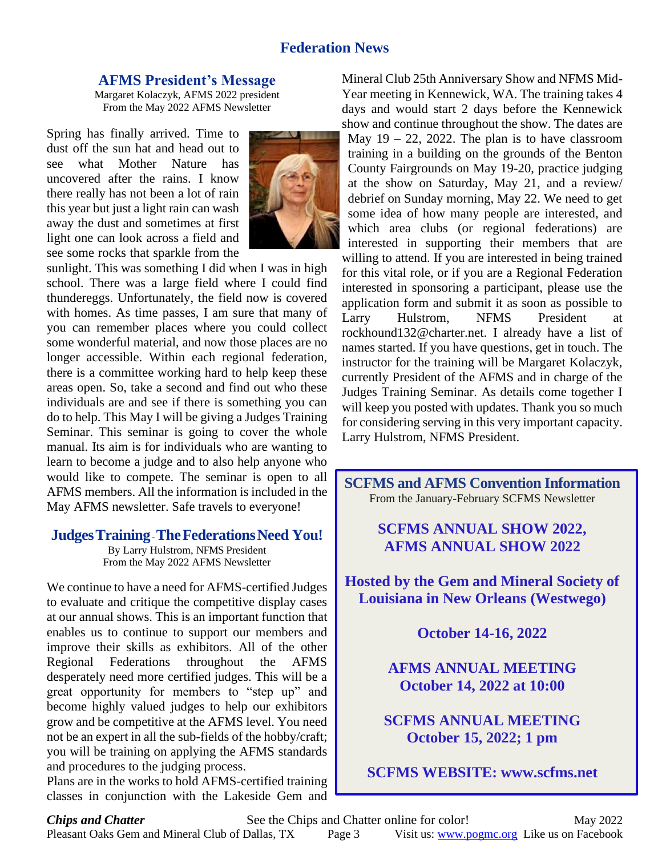#### **Federation News**

#### **AFMS President's Message**

Margaret Kolaczyk, AFMS 2022 president From the May 2022 AFMS Newsletter

Spring has finally arrived. Time to dust off the sun hat and head out to see what Mother Nature has uncovered after the rains. I know there really has not been a lot of rain this year but just a light rain can wash away the dust and sometimes at first light one can look across a field and see some rocks that sparkle from the



sunlight. This was something I did when I was in high school. There was a large field where I could find thundereggs. Unfortunately, the field now is covered with homes. As time passes, I am sure that many of you can remember places where you could collect some wonderful material, and now those places are no longer accessible. Within each regional federation, there is a committee working hard to help keep these areas open. So, take a second and find out who these individuals are and see if there is something you can do to help. This May I will be giving a Judges Training Seminar. This seminar is going to cover the whole manual. Its aim is for individuals who are wanting to learn to become a judge and to also help anyone who would like to compete. The seminar is open to all AFMS members. All the information is included in the May AFMS newsletter. Safe travels to everyone!

#### **JudgesTraining-TheFederationsNeed You!**

By Larry Hulstrom, NFMS President From the May 2022 AFMS Newsletter

We continue to have a need for AFMS-certified Judges to evaluate and critique the competitive display cases at our annual shows. This is an important function that enables us to continue to support our members and improve their skills as exhibitors. All of the other Regional Federations throughout the AFMS desperately need more certified judges. This will be a great opportunity for members to "step up" and become highly valued judges to help our exhibitors grow and be competitive at the AFMS level. You need not be an expert in all the sub-fields of the hobby/craft; you will be training on applying the AFMS standards and procedures to the judging process.

Plans are in the works to hold AFMS-certified training classes in conjunction with the Lakeside Gem and Mineral Club 25th Anniversary Show and NFMS Mid-Year meeting in Kennewick, WA. The training takes 4 days and would start 2 days before the Kennewick show and continue throughout the show. The dates are May  $19 - 22$ , 2022. The plan is to have classroom training in a building on the grounds of the Benton County Fairgrounds on May 19-20, practice judging at the show on Saturday, May 21, and a review/ debrief on Sunday morning, May 22. We need to get some idea of how many people are interested, and which area clubs (or regional federations) are interested in supporting their members that are willing to attend. If you are interested in being trained for this vital role, or if you are a Regional Federation interested in sponsoring a participant, please use the application form and submit it as soon as possible to Larry Hulstrom, NFMS President at rockhound132@charter.net. I already have a list of names started. If you have questions, get in touch. The instructor for the training will be Margaret Kolaczyk, currently President of the AFMS and in charge of the Judges Training Seminar. As details come together I will keep you posted with updates. Thank you so much for considering serving in this very important capacity. Larry Hulstrom, NFMS President.

**SCFMS and AFMS Convention Information** From the January-February SCFMS Newsletter

> **SCFMS ANNUAL SHOW 2022, AFMS ANNUAL SHOW 2022**

**Hosted by the Gem and Mineral Society of Louisiana in New Orleans (Westwego)**

**October 14-16, 2022**

**AFMS ANNUAL MEETING October 14, 2022 at 10:00**

**SCFMS ANNUAL MEETING October 15, 2022; 1 pm**

**SCFMS WEBSITE: www.scfms.net**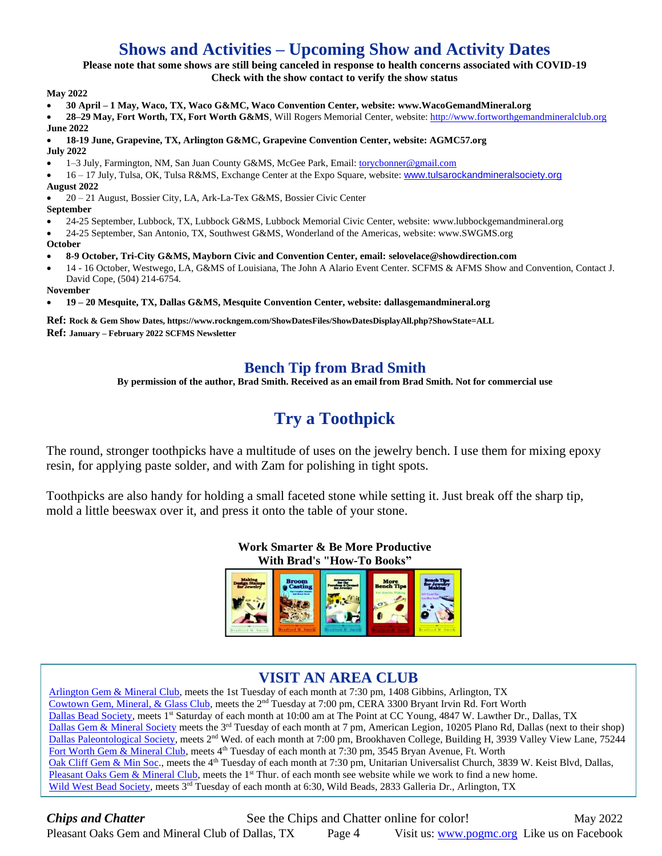# **Shows and Activities – Upcoming Show and Activity Dates**

#### **Please note that some shows are still being canceled in response to health concerns associated with COVID-19**

**Check with the show contact to verify the show status**

**May 2022**

- **30 April – 1 May, Waco, TX, Waco G&MC, Waco Convention Center, website: www.WacoGemandMineral.org**
- **28–29 May, Fort Worth, TX, Fort Worth G&MS**, Will Rogers Memorial Center, website: [http://www.fortworthgemandmineralclub.org](http://www.fortworthgemandmineralclub.org/) **June 2022**

#### • **18-19 June, Grapevine, TX, Arlington G&MC, Grapevine Convention Center, website: AGMC57.org July 2022**

- 1–3 July, Farmington, NM, San Juan County G&MS, McGee Park, Email: [torycbonner@gmail.com](mailto:torycbonner@gmail.com)
- 16 17 July, Tulsa, OK, Tulsa R&MS, Exchange Center at the Expo Square, website: [www.tulsarockandmineralsociety.org](http://www.tulsarockandmineralsociety.org/) **August 2022**

• 20 – 21 August, Bossier City, LA, Ark-La-Tex G&MS, Bossier Civic Center

- **September**
- 24-25 September, Lubbock, TX, Lubbock G&MS, Lubbock Memorial Civic Center, website: [www.lubbockgemandmineral.org](http://www.lubbockgemandmineral.org/)

• 24-25 September, San Antonio, TX, Southwest G&MS, Wonderland of the Americas, website[: www.SWGMS.org](http://www.swgms.org/)

**October**

#### • **8-9 October, Tri-City G&MS, Mayborn Civic and Convention Center, email[: selovelace@showdirection.com](mailto:selovelace@showdirection.com)**

• 14 - 16 October, Westwego, LA, G&MS of Louisiana, The John A Alario Event Center. SCFMS & AFMS Show and Convention, Contact J. David Cope, (504) 214-6754.

**November**

• **19 – 20 Mesquite, TX, Dallas G&MS, Mesquite Convention Center, website: dallasgemandmineral.org**

**Ref: Rock & Gem Show Dates[, https://www.rockngem.com/ShowDatesFiles/ShowDatesDisplayAll.php?ShowState=ALL](https://www.rockngem.com/ShowDatesFiles/ShowDatesDisplayAll.php?ShowState=ALL) Ref: January – February 2022 SCFMS Newsletter**

## **Bench Tip from Brad Smith**

**By permission of the author, Brad Smith. Received as an email from Brad Smith. Not for commercial use**

# **Try a Toothpick**

The round, stronger toothpicks have a multitude of uses on the jewelry bench. I use them for mixing epoxy resin, for applying paste solder, and with Zam for polishing in tight spots.

Toothpicks are also handy for holding a small faceted stone while setting it. Just break off the sharp tip, mold a little beeswax over it, and press it onto the table of your stone.



## **VISIT AN AREA CLUB**

[Arlington Gem & Mineral Club,](http://www.agemclub.org/) meets the 1st Tuesday of each month at 7:30 pm, 1408 Gibbins, Arlington, TX [Cowtown Gem, Mineral, & Glass Club,](http://cera-fw.org/gem-mineral-glass/) meets the 2nd Tuesday at 7:00 pm, CERA 3300 Bryant Irvin Rd. Fort Worth [Dallas Bead Society,](https://www.google.com/url?sa=t&rct=j&q=&esrc=s&source=web&cd=2&cad=rja&uact=8&ved=0ahUKEwjIz5vbn4XKAhUDSyYKHUamBxQQFggkMAE&url=http%3A%2F%2Fdallasbeadsociety.org%2F&usg=AFQjCNGkGBFQJHy4DEpDYLqFSkfSsxooZw&sig2=FgwnpS31Cspz5uTtUszQtQ) meets 1<sup>st</sup> Saturday of each month at 10:00 am at The Point at CC Young, 4847 W. Lawther Dr., Dallas, TX [Dallas Gem & Mineral Society](http://www.dallasgemandmineral.org/) meets the 3<sup>rd</sup> Tuesday of each month at 7 pm, American Legion, 10205 Plano Rd, Dallas (next to their shop) [Dallas Paleontological Society,](http://www.dallaspaleo.org/) meets 2<sup>nd</sup> Wed. of each month at 7:00 pm, Brookhaven College, Building H, 3939 Valley View Lane, 75244 [Fort Worth Gem & Mineral Club,](http://www.fortworthgemandmineralclub.com/CLUB.html) meets 4<sup>th</sup> Tuesday of each month at 7:30 pm, 3545 Bryan Avenue, Ft. Worth [Oak Cliff Gem & Min Soc.](http://www.ocgemandmineral.com/), meets the 4<sup>th</sup> Tuesday of each month at 7:30 pm, Unitarian Universalist Church, 3839 W. Keist Blvd, Dallas, [Pleasant Oaks Gem & Mineral Club,](http://www.pogmc.org/) meets the 1<sup>st</sup> Thur. of each month see website while we work to find a new home. [Wild West Bead Society,](http://www.wildwestbeadsociety.com/Main_Page.html) meets 3<sup>rd</sup> Tuesday of each month at 6:30, Wild Beads, 2833 Galleria Dr., Arlington, TX

**Chips and Chatter** See the Chips and Chatter online for color! May 2022 Pleasant Oaks Gem and Mineral Club of Dallas, TX Page 4 Visit us: [www.pogmc.org](http://www.pogmc.org/) Like us on Facebook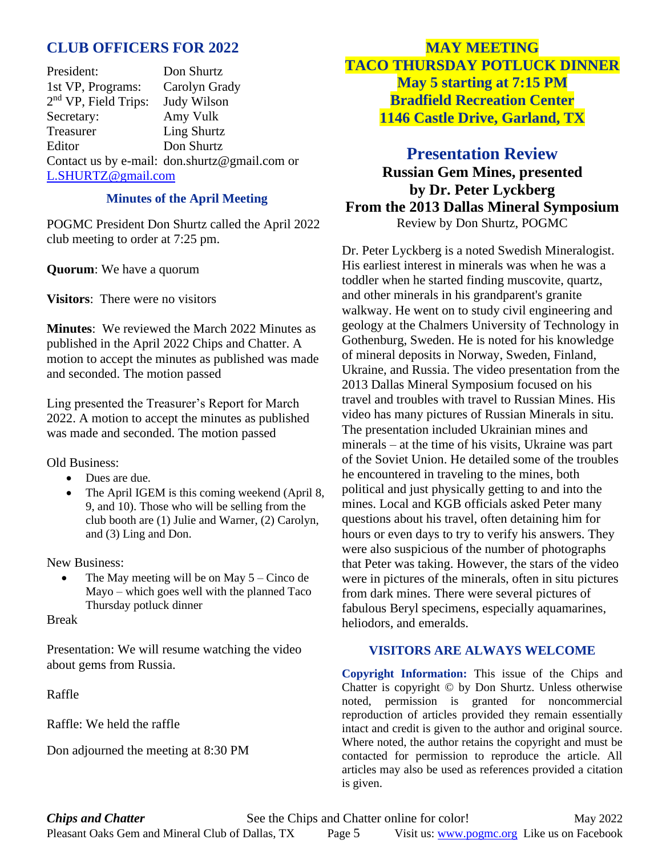## **CLUB OFFICERS FOR 2022**

President: Don Shurtz 1st VP, Programs: Carolyn Grady 2<sup>nd</sup> VP, Field Trips: Judy Wilson Secretary: Amy Vulk Treasurer Ling Shurtz Editor Don Shurtz Contact us by e-mail: [don.shurtz@gmail.com](mailto:don.shurtz@gmail.com) or [L.SHURTZ@gmail.com](mailto:L.SHURTZ@gmail.com) 

#### **Minutes of the April Meeting**

POGMC President Don Shurtz called the April 2022 club meeting to order at 7:25 pm.

**Quorum**: We have a quorum

**Visitors**: There were no visitors

**Minutes**: We reviewed the March 2022 Minutes as published in the April 2022 Chips and Chatter. A motion to accept the minutes as published was made and seconded. The motion passed

Ling presented the Treasurer's Report for March 2022. A motion to accept the minutes as published was made and seconded. The motion passed

Old Business:

- Dues are due.
- The April IGEM is this coming weekend (April 8, 9, and 10). Those who will be selling from the club booth are (1) Julie and Warner, (2) Carolyn, and (3) Ling and Don.

New Business:

The May meeting will be on May  $5 -$ Cinco de Mayo – which goes well with the planned Taco Thursday potluck dinner

Break

Presentation: We will resume watching the video about gems from Russia.

Raffle

Raffle: We held the raffle

Don adjourned the meeting at 8:30 PM

**MAY MEETING TACO THURSDAY POTLUCK DINNER May 5 starting at 7:15 PM Bradfield Recreation Center 1146 Castle Drive, Garland, TX**

## **Presentation Review Russian Gem Mines, presented by Dr. Peter Lyckberg From the 2013 Dallas Mineral Symposium** Review by Don Shurtz, POGMC

Dr. Peter Lyckberg is a noted Swedish Mineralogist. His earliest interest in minerals was when he was a toddler when he started finding muscovite, quartz, and other minerals in his grandparent's granite walkway. He went on to study civil engineering and geology at the Chalmers University of Technology in Gothenburg, Sweden. He is noted for his knowledge of mineral deposits in Norway, Sweden, Finland, Ukraine, and Russia. The video presentation from the 2013 Dallas Mineral Symposium focused on his travel and troubles with travel to Russian Mines. His video has many pictures of Russian Minerals in situ. The presentation included Ukrainian mines and minerals – at the time of his visits, Ukraine was part of the Soviet Union. He detailed some of the troubles he encountered in traveling to the mines, both political and just physically getting to and into the mines. Local and KGB officials asked Peter many questions about his travel, often detaining him for hours or even days to try to verify his answers. They were also suspicious of the number of photographs that Peter was taking. However, the stars of the video were in pictures of the minerals, often in situ pictures from dark mines. There were several pictures of fabulous Beryl specimens, especially aquamarines, heliodors, and emeralds.

#### **VISITORS ARE ALWAYS WELCOME**

**Copyright Information:** This issue of the Chips and Chatter is copyright © by Don Shurtz. Unless otherwise noted, permission is granted for noncommercial reproduction of articles provided they remain essentially intact and credit is given to the author and original source. Where noted, the author retains the copyright and must be contacted for permission to reproduce the article. All articles may also be used as references provided a citation is given.